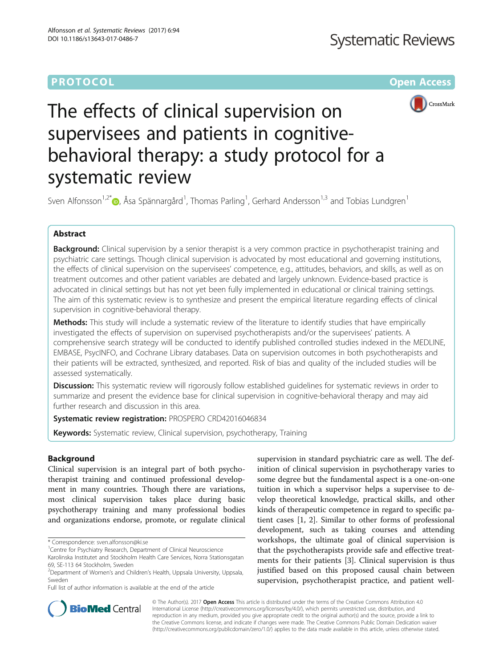## **PROTOCOL CONSUMING THE CONSUMING TEACHER CONSUMING THE CONSUMING TEACHER CONSUMING THE CONSUMING TEACHER CONSUMING**



# The effects of clinical supervision on supervisees and patients in cognitivebehavioral therapy: a study protocol for a systematic review

Sven Alfonsson<sup>1,2[\\*](http://orcid.org/0000-0003-4570-5891)</sup>©, Åsa Spännargård<sup>1</sup>, Thomas Parling<sup>1</sup>, Gerhard Andersson<sup>1,3</sup> and Tobias Lundgren<sup>1</sup>

### Abstract

Background: Clinical supervision by a senior therapist is a very common practice in psychotherapist training and psychiatric care settings. Though clinical supervision is advocated by most educational and governing institutions, the effects of clinical supervision on the supervisees' competence, e.g., attitudes, behaviors, and skills, as well as on treatment outcomes and other patient variables are debated and largely unknown. Evidence-based practice is advocated in clinical settings but has not yet been fully implemented in educational or clinical training settings. The aim of this systematic review is to synthesize and present the empirical literature regarding effects of clinical supervision in cognitive-behavioral therapy.

Methods: This study will include a systematic review of the literature to identify studies that have empirically investigated the effects of supervision on supervised psychotherapists and/or the supervisees' patients. A comprehensive search strategy will be conducted to identify published controlled studies indexed in the MEDLINE, EMBASE, PsycINFO, and Cochrane Library databases. Data on supervision outcomes in both psychotherapists and their patients will be extracted, synthesized, and reported. Risk of bias and quality of the included studies will be assessed systematically.

Discussion: This systematic review will rigorously follow established guidelines for systematic reviews in order to summarize and present the evidence base for clinical supervision in cognitive-behavioral therapy and may aid further research and discussion in this area.

Systematic review registration: PROSPERO [CRD42016046834](http://www.crd.york.ac.uk/PROSPERO/display_record.asp?ID=CRD42016046834)

Keywords: Systematic review, Clinical supervision, psychotherapy, Training

### Background

Clinical supervision is an integral part of both psychotherapist training and continued professional development in many countries. Though there are variations, most clinical supervision takes place during basic psychotherapy training and many professional bodies and organizations endorse, promote, or regulate clinical

Full list of author information is available at the end of the article

supervision in standard psychiatric care as well. The definition of clinical supervision in psychotherapy varies to some degree but the fundamental aspect is a one-on-one tuition in which a supervisor helps a supervisee to develop theoretical knowledge, practical skills, and other kinds of therapeutic competence in regard to specific patient cases [\[1](#page-5-0), [2\]](#page-5-0). Similar to other forms of professional development, such as taking courses and attending workshops, the ultimate goal of clinical supervision is that the psychotherapists provide safe and effective treatments for their patients [\[3](#page-5-0)]. Clinical supervision is thus justified based on this proposed causal chain between supervision, psychotherapist practice, and patient well-



© The Author(s). 2017 **Open Access** This article is distributed under the terms of the Creative Commons Attribution 4.0 International License [\(http://creativecommons.org/licenses/by/4.0/](http://creativecommons.org/licenses/by/4.0/)), which permits unrestricted use, distribution, and reproduction in any medium, provided you give appropriate credit to the original author(s) and the source, provide a link to the Creative Commons license, and indicate if changes were made. The Creative Commons Public Domain Dedication waiver [\(http://creativecommons.org/publicdomain/zero/1.0/](http://creativecommons.org/publicdomain/zero/1.0/)) applies to the data made available in this article, unless otherwise stated.

<sup>\*</sup> Correspondence: [sven.alfonsson@ki.se](mailto:sven.alfonsson@ki.se) <sup>1</sup>

<sup>&</sup>lt;sup>1</sup> Centre for Psychiatry Research, Department of Clinical Neuroscience

Karolinska Institutet and Stockholm Health Care Services, Norra Stationsgatan 69, SE-113 64 Stockholm, Sweden

<sup>&</sup>lt;sup>2</sup>Department of Women's and Children's Health, Uppsala University, Uppsala, Sweden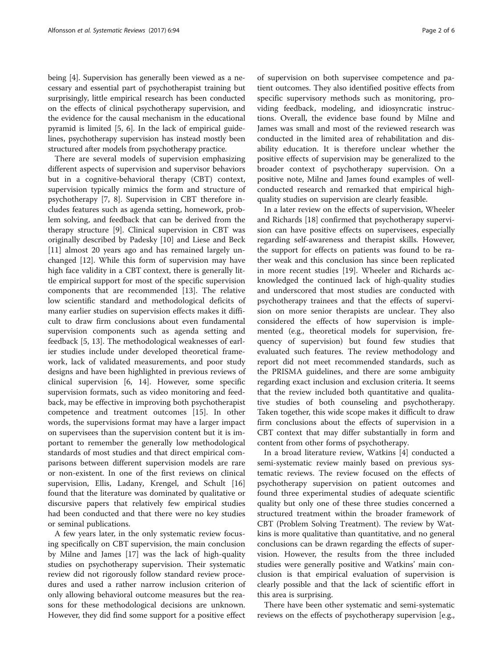being [\[4\]](#page-5-0). Supervision has generally been viewed as a necessary and essential part of psychotherapist training but surprisingly, little empirical research has been conducted on the effects of clinical psychotherapy supervision, and the evidence for the causal mechanism in the educational pyramid is limited [[5, 6](#page-5-0)]. In the lack of empirical guidelines, psychotherapy supervision has instead mostly been structured after models from psychotherapy practice.

There are several models of supervision emphasizing different aspects of supervision and supervisor behaviors but in a cognitive-behavioral therapy (CBT) context, supervision typically mimics the form and structure of psychotherapy [\[7, 8\]](#page-5-0). Supervision in CBT therefore includes features such as agenda setting, homework, problem solving, and feedback that can be derived from the therapy structure [[9\]](#page-5-0). Clinical supervision in CBT was originally described by Padesky [[10\]](#page-5-0) and Liese and Beck [[11\]](#page-5-0) almost 20 years ago and has remained largely unchanged [[12\]](#page-5-0). While this form of supervision may have high face validity in a CBT context, there is generally little empirical support for most of the specific supervision components that are recommended [[13\]](#page-5-0). The relative low scientific standard and methodological deficits of many earlier studies on supervision effects makes it difficult to draw firm conclusions about even fundamental supervision components such as agenda setting and feedback [[5](#page-5-0), [13](#page-5-0)]. The methodological weaknesses of earlier studies include under developed theoretical framework, lack of validated measurements, and poor study designs and have been highlighted in previous reviews of clinical supervision [[6, 14\]](#page-5-0). However, some specific supervision formats, such as video monitoring and feedback, may be effective in improving both psychotherapist competence and treatment outcomes [\[15\]](#page-5-0). In other words, the supervisions format may have a larger impact on supervisees than the supervision content but it is important to remember the generally low methodological standards of most studies and that direct empirical comparisons between different supervision models are rare or non-existent. In one of the first reviews on clinical supervision, Ellis, Ladany, Krengel, and Schult [[16](#page-5-0)] found that the literature was dominated by qualitative or discursive papers that relatively few empirical studies had been conducted and that there were no key studies or seminal publications.

A few years later, in the only systematic review focusing specifically on CBT supervision, the main conclusion by Milne and James [[17](#page-5-0)] was the lack of high-quality studies on psychotherapy supervision. Their systematic review did not rigorously follow standard review procedures and used a rather narrow inclusion criterion of only allowing behavioral outcome measures but the reasons for these methodological decisions are unknown. However, they did find some support for a positive effect

of supervision on both supervisee competence and patient outcomes. They also identified positive effects from specific supervisory methods such as monitoring, providing feedback, modeling, and idiosyncratic instructions. Overall, the evidence base found by Milne and James was small and most of the reviewed research was conducted in the limited area of rehabilitation and disability education. It is therefore unclear whether the positive effects of supervision may be generalized to the broader context of psychotherapy supervision. On a positive note, Milne and James found examples of wellconducted research and remarked that empirical highquality studies on supervision are clearly feasible.

In a later review on the effects of supervision, Wheeler and Richards [\[18\]](#page-5-0) confirmed that psychotherapy supervision can have positive effects on supervisees, especially regarding self-awareness and therapist skills. However, the support for effects on patients was found to be rather weak and this conclusion has since been replicated in more recent studies [[19](#page-5-0)]. Wheeler and Richards acknowledged the continued lack of high-quality studies and underscored that most studies are conducted with psychotherapy trainees and that the effects of supervision on more senior therapists are unclear. They also considered the effects of how supervision is implemented (e.g., theoretical models for supervision, frequency of supervision) but found few studies that evaluated such features. The review methodology and report did not meet recommended standards, such as the PRISMA guidelines, and there are some ambiguity regarding exact inclusion and exclusion criteria. It seems that the review included both quantitative and qualitative studies of both counseling and psychotherapy. Taken together, this wide scope makes it difficult to draw firm conclusions about the effects of supervision in a CBT context that may differ substantially in form and content from other forms of psychotherapy.

In a broad literature review, Watkins [[4\]](#page-5-0) conducted a semi-systematic review mainly based on previous systematic reviews. The review focused on the effects of psychotherapy supervision on patient outcomes and found three experimental studies of adequate scientific quality but only one of these three studies concerned a structured treatment within the broader framework of CBT (Problem Solving Treatment). The review by Watkins is more qualitative than quantitative, and no general conclusions can be drawn regarding the effects of supervision. However, the results from the three included studies were generally positive and Watkins' main conclusion is that empirical evaluation of supervision is clearly possible and that the lack of scientific effort in this area is surprising.

There have been other systematic and semi-systematic reviews on the effects of psychotherapy supervision [e.g.,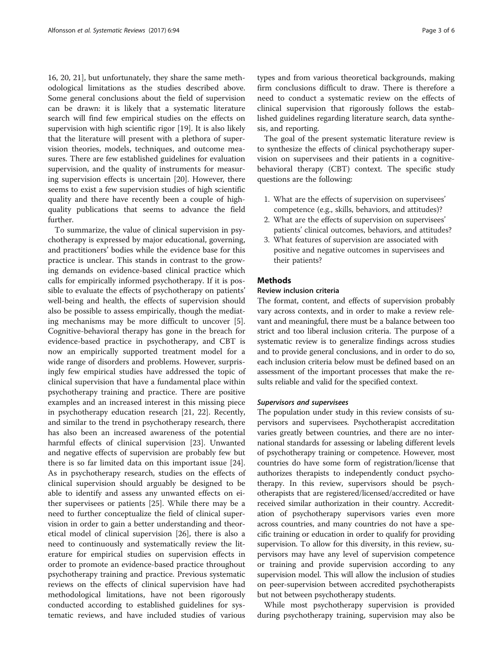16, 20, 21], but unfortunately, they share the same methodological limitations as the studies described above. Some general conclusions about the field of supervision can be drawn: it is likely that a systematic literature search will find few empirical studies on the effects on supervision with high scientific rigor [\[19](#page-5-0)]. It is also likely that the literature will present with a plethora of supervision theories, models, techniques, and outcome measures. There are few established guidelines for evaluation supervision, and the quality of instruments for measuring supervision effects is uncertain [[20\]](#page-5-0). However, there seems to exist a few supervision studies of high scientific quality and there have recently been a couple of highquality publications that seems to advance the field further.

To summarize, the value of clinical supervision in psychotherapy is expressed by major educational, governing, and practitioners' bodies while the evidence base for this practice is unclear. This stands in contrast to the growing demands on evidence-based clinical practice which calls for empirically informed psychotherapy. If it is possible to evaluate the effects of psychotherapy on patients' well-being and health, the effects of supervision should also be possible to assess empirically, though the mediating mechanisms may be more difficult to uncover [\[5](#page-5-0)]. Cognitive-behavioral therapy has gone in the breach for evidence-based practice in psychotherapy, and CBT is now an empirically supported treatment model for a wide range of disorders and problems. However, surprisingly few empirical studies have addressed the topic of clinical supervision that have a fundamental place within psychotherapy training and practice. There are positive examples and an increased interest in this missing piece in psychotherapy education research [[21, 22\]](#page-5-0). Recently, and similar to the trend in psychotherapy research, there has also been an increased awareness of the potential harmful effects of clinical supervision [\[23\]](#page-5-0). Unwanted and negative effects of supervision are probably few but there is so far limited data on this important issue [\[24](#page-5-0)]. As in psychotherapy research, studies on the effects of clinical supervision should arguably be designed to be able to identify and assess any unwanted effects on either supervisees or patients [\[25\]](#page-5-0). While there may be a need to further conceptualize the field of clinical supervision in order to gain a better understanding and theoretical model of clinical supervision [\[26\]](#page-5-0), there is also a need to continuously and systematically review the literature for empirical studies on supervision effects in order to promote an evidence-based practice throughout psychotherapy training and practice. Previous systematic reviews on the effects of clinical supervision have had methodological limitations, have not been rigorously conducted according to established guidelines for systematic reviews, and have included studies of various

types and from various theoretical backgrounds, making firm conclusions difficult to draw. There is therefore a need to conduct a systematic review on the effects of clinical supervision that rigorously follows the established guidelines regarding literature search, data synthesis, and reporting.

The goal of the present systematic literature review is to synthesize the effects of clinical psychotherapy supervision on supervisees and their patients in a cognitivebehavioral therapy (CBT) context. The specific study questions are the following:

- 1. What are the effects of supervision on supervisees' competence (e.g., skills, behaviors, and attitudes)?
- 2. What are the effects of supervision on supervisees' patients' clinical outcomes, behaviors, and attitudes?
- 3. What features of supervision are associated with positive and negative outcomes in supervisees and their patients?

#### **Methods**

#### Review inclusion criteria

The format, content, and effects of supervision probably vary across contexts, and in order to make a review relevant and meaningful, there must be a balance between too strict and too liberal inclusion criteria. The purpose of a systematic review is to generalize findings across studies and to provide general conclusions, and in order to do so, each inclusion criteria below must be defined based on an assessment of the important processes that make the results reliable and valid for the specified context.

#### Supervisors and supervisees

The population under study in this review consists of supervisors and supervisees. Psychotherapist accreditation varies greatly between countries, and there are no international standards for assessing or labeling different levels of psychotherapy training or competence. However, most countries do have some form of registration/license that authorizes therapists to independently conduct psychotherapy. In this review, supervisors should be psychotherapists that are registered/licensed/accredited or have received similar authorization in their country. Accreditation of psychotherapy supervisors varies even more across countries, and many countries do not have a specific training or education in order to qualify for providing supervision. To allow for this diversity, in this review, supervisors may have any level of supervision competence or training and provide supervision according to any supervision model. This will allow the inclusion of studies on peer-supervision between accredited psychotherapists but not between psychotherapy students.

While most psychotherapy supervision is provided during psychotherapy training, supervision may also be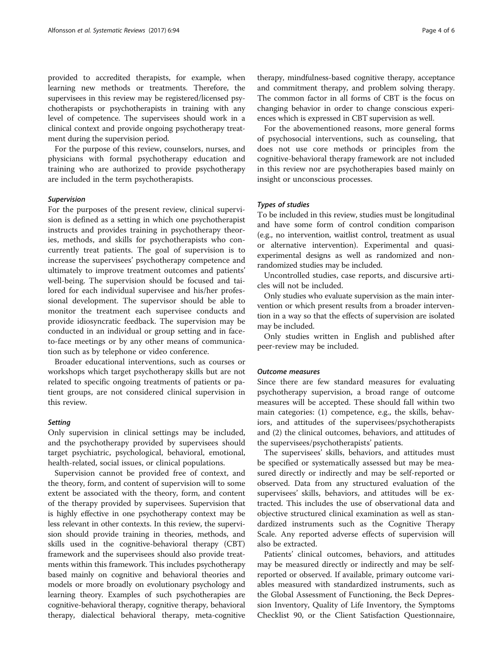provided to accredited therapists, for example, when learning new methods or treatments. Therefore, the supervisees in this review may be registered/licensed psychotherapists or psychotherapists in training with any level of competence. The supervisees should work in a clinical context and provide ongoing psychotherapy treatment during the supervision period.

For the purpose of this review, counselors, nurses, and physicians with formal psychotherapy education and training who are authorized to provide psychotherapy are included in the term psychotherapists.

#### Supervision

For the purposes of the present review, clinical supervision is defined as a setting in which one psychotherapist instructs and provides training in psychotherapy theories, methods, and skills for psychotherapists who concurrently treat patients. The goal of supervision is to increase the supervisees' psychotherapy competence and ultimately to improve treatment outcomes and patients' well-being. The supervision should be focused and tailored for each individual supervisee and his/her professional development. The supervisor should be able to monitor the treatment each supervisee conducts and provide idiosyncratic feedback. The supervision may be conducted in an individual or group setting and in faceto-face meetings or by any other means of communication such as by telephone or video conference.

Broader educational interventions, such as courses or workshops which target psychotherapy skills but are not related to specific ongoing treatments of patients or patient groups, are not considered clinical supervision in this review.

#### **Setting**

Only supervision in clinical settings may be included, and the psychotherapy provided by supervisees should target psychiatric, psychological, behavioral, emotional, health-related, social issues, or clinical populations.

Supervision cannot be provided free of context, and the theory, form, and content of supervision will to some extent be associated with the theory, form, and content of the therapy provided by supervisees. Supervision that is highly effective in one psychotherapy context may be less relevant in other contexts. In this review, the supervision should provide training in theories, methods, and skills used in the cognitive-behavioral therapy (CBT) framework and the supervisees should also provide treatments within this framework. This includes psychotherapy based mainly on cognitive and behavioral theories and models or more broadly on evolutionary psychology and learning theory. Examples of such psychotherapies are cognitive-behavioral therapy, cognitive therapy, behavioral therapy, dialectical behavioral therapy, meta-cognitive

therapy, mindfulness-based cognitive therapy, acceptance and commitment therapy, and problem solving therapy. The common factor in all forms of CBT is the focus on changing behavior in order to change conscious experiences which is expressed in CBT supervision as well.

For the abovementioned reasons, more general forms of psychosocial interventions, such as counseling, that does not use core methods or principles from the cognitive-behavioral therapy framework are not included in this review nor are psychotherapies based mainly on insight or unconscious processes.

#### Types of studies

To be included in this review, studies must be longitudinal and have some form of control condition comparison (e.g., no intervention, waitlist control, treatment as usual or alternative intervention). Experimental and quasiexperimental designs as well as randomized and nonrandomized studies may be included.

Uncontrolled studies, case reports, and discursive articles will not be included.

Only studies who evaluate supervision as the main intervention or which present results from a broader intervention in a way so that the effects of supervision are isolated may be included.

Only studies written in English and published after peer-review may be included.

#### Outcome measures

Since there are few standard measures for evaluating psychotherapy supervision, a broad range of outcome measures will be accepted. These should fall within two main categories: (1) competence, e.g., the skills, behaviors, and attitudes of the supervisees/psychotherapists and (2) the clinical outcomes, behaviors, and attitudes of the supervisees/psychotherapists' patients.

The supervisees' skills, behaviors, and attitudes must be specified or systematically assessed but may be measured directly or indirectly and may be self-reported or observed. Data from any structured evaluation of the supervisees' skills, behaviors, and attitudes will be extracted. This includes the use of observational data and objective structured clinical examination as well as standardized instruments such as the Cognitive Therapy Scale. Any reported adverse effects of supervision will also be extracted.

Patients' clinical outcomes, behaviors, and attitudes may be measured directly or indirectly and may be selfreported or observed. If available, primary outcome variables measured with standardized instruments, such as the Global Assessment of Functioning, the Beck Depression Inventory, Quality of Life Inventory, the Symptoms Checklist 90, or the Client Satisfaction Questionnaire,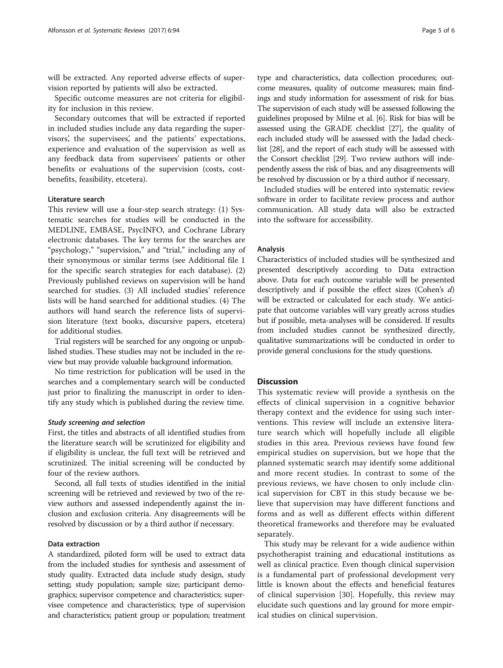will be extracted. Any reported adverse effects of supervision reported by patients will also be extracted.

Specific outcome measures are not criteria for eligibility for inclusion in this review.

Secondary outcomes that will be extracted if reported in included studies include any data regarding the supervisors', the supervisees', and the patients' expectations, experience and evaluation of the supervision as well as any feedback data from supervisees' patients or other benefits or evaluations of the supervision (costs, costbenefits, feasibility, etcetera).

#### Literature search

This review will use a four-step search strategy: (1) Systematic searches for studies will be conducted in the MEDLINE, EMBASE, PsycINFO, and Cochrane Library electronic databases. The key terms for the searches are "psychology," "supervision," and "trial," including any of their synonymous or similar terms (see Additional file [1](#page-5-0) for the specific search strategies for each database). (2) Previously published reviews on supervision will be hand searched for studies. (3) All included studies' reference lists will be hand searched for additional studies. (4) The authors will hand search the reference lists of supervision literature (text books, discursive papers, etcetera) for additional studies.

Trial registers will be searched for any ongoing or unpublished studies. These studies may not be included in the review but may provide valuable background information.

No time restriction for publication will be used in the searches and a complementary search will be conducted just prior to finalizing the manuscript in order to identify any study which is published during the review time.

#### Study screening and selection

First, the titles and abstracts of all identified studies from the literature search will be scrutinized for eligibility and if eligibility is unclear, the full text will be retrieved and scrutinized. The initial screening will be conducted by four of the review authors.

Second, all full texts of studies identified in the initial screening will be retrieved and reviewed by two of the review authors and assessed independently against the inclusion and exclusion criteria. Any disagreements will be resolved by discussion or by a third author if necessary.

#### Data extraction

A standardized, piloted form will be used to extract data from the included studies for synthesis and assessment of study quality. Extracted data include study design, study setting; study population; sample size; participant demographics; supervisor competence and characteristics; supervisee competence and characteristics; type of supervision and characteristics; patient group or population; treatment

type and characteristics, data collection procedures; outcome measures, quality of outcome measures; main findings and study information for assessment of risk for bias. The supervision of each study will be assessed following the guidelines proposed by Milne et al. [\[6](#page-5-0)]. Risk for bias will be assessed using the GRADE checklist [\[27\]](#page-5-0), the quality of each included study will be assessed with the Jadad checklist [\[28\]](#page-5-0), and the report of each study will be assessed with the Consort checklist [\[29\]](#page-5-0). Two review authors will independently assess the risk of bias, and any disagreements will be resolved by discussion or by a third author if necessary.

Included studies will be entered into systematic review software in order to facilitate review process and author communication. All study data will also be extracted into the software for accessibility.

#### Analysis

Characteristics of included studies will be synthesized and presented descriptively according to Data extraction above. Data for each outcome variable will be presented descriptively and if possible the effect sizes (Cohen's d) will be extracted or calculated for each study. We anticipate that outcome variables will vary greatly across studies but if possible, meta-analyses will be considered. If results from included studies cannot be synthesized directly, qualitative summarizations will be conducted in order to provide general conclusions for the study questions.

#### Discussion

This systematic review will provide a synthesis on the effects of clinical supervision in a cognitive behavior therapy context and the evidence for using such interventions. This review will include an extensive literature search which will hopefully include all eligible studies in this area. Previous reviews have found few empirical studies on supervision, but we hope that the planned systematic search may identify some additional and more recent studies. In contrast to some of the previous reviews, we have chosen to only include clinical supervision for CBT in this study because we believe that supervision may have different functions and forms and as well as different effects within different theoretical frameworks and therefore may be evaluated separately.

This study may be relevant for a wide audience within psychotherapist training and educational institutions as well as clinical practice. Even though clinical supervision is a fundamental part of professional development very little is known about the effects and beneficial features of clinical supervision [[30\]](#page-5-0). Hopefully, this review may elucidate such questions and lay ground for more empirical studies on clinical supervision.